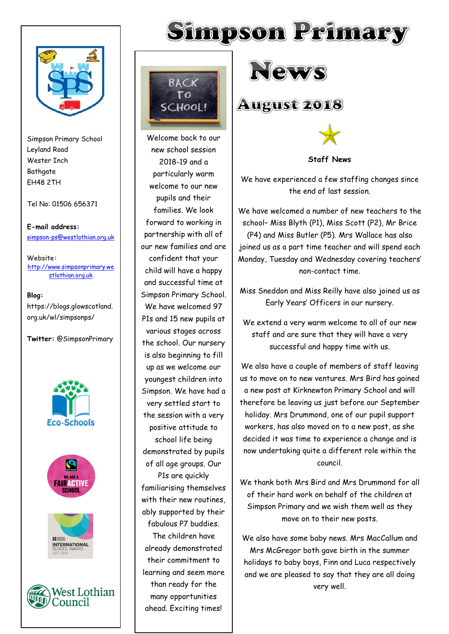

Simpson Primary School Leyland Road Wester Inch Bathgate EH48 2TH

Tel No: 01506 656371

**E-mail address:** [simpson-ps@westlothian.org.uk](mailto:simpson-ps@westlothian.org.uk)

**Website:** [http://www.simpsonprimary.we](http://www.simpsonprimary.westlothian.org.uk/) [stlothian.org.uk](http://www.simpsonprimary.westlothian.org.uk/)

# **Blog:** https://blogs.glowscotland. org.uk/wl/simpsonps/

**Twitter:** @SimpsonPrimary











Welcome back to our new school session 2018-19 and a particularly warm welcome to our new pupils and their families. We look forward to working in partnership with all of our new families and are confident that your child will have a happy and successful time at Simpson Primary School. We have welcomed 97 P1s and 15 new pupils at various stages across the school. Our nursery is also beginning to fill up as we welcome our youngest children into Simpson. We have had a very settled start to the session with a very positive attitude to school life being demonstrated by pupils of all age groups. Our P1s are quickly familiarising themselves with their new routines, ably supported by their fabulous P7 buddies. The children have already demonstrated their commitment to learning and seem more than ready for the many opportunities ahead. Exciting times!



**Simpson Primary** 

# **August 2018**



**Staff News**

We have experienced a few staffing changes since the end of last session.

We have welcomed a number of new teachers to the school– Miss Blyth (P1), Miss Scott (P2), Mr Brice (P4) and Miss Butler (P5). Mrs Wallace has also joined us as a part time teacher and will spend each Monday, Tuesday and Wednesday covering teachers' non-contact time.

Miss Sneddon and Miss Reilly have also joined us as Early Years' Officers in our nursery.

We extend a very warm welcome to all of our new staff and are sure that they will have a very successful and happy time with us.

We also have a couple of members of staff leaving us to move on to new ventures. Mrs Bird has gained a new post at Kirknewton Primary School and will therefore be leaving us just before our September holiday. Mrs Drummond, one of our pupil support workers, has also moved on to a new post, as she decided it was time to experience a change and is now undertaking quite a different role within the council.

We thank both Mrs Bird and Mrs Drummond for all of their hard work on behalf of the children at Simpson Primary and we wish them well as they move on to their new posts.

We also have some baby news. Mrs MacCallum and Mrs McGregor both gave birth in the summer holidays to baby boys, Finn and Luca respectively and we are pleased to say that they are all doing very well.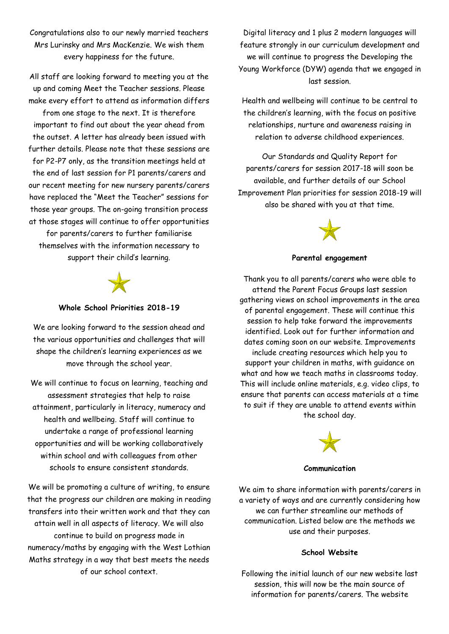Congratulations also to our newly married teachers Mrs Lurinsky and Mrs MacKenzie. We wish them every happiness for the future.

All staff are looking forward to meeting you at the up and coming Meet the Teacher sessions. Please make every effort to attend as information differs

from one stage to the next. It is therefore important to find out about the year ahead from the outset. A letter has already been issued with further details. Please note that these sessions are for P2-P7 only, as the transition meetings held at the end of last session for P1 parents/carers and our recent meeting for new nursery parents/carers have replaced the "Meet the Teacher" sessions for those year groups. The on-going transition process at those stages will continue to offer opportunities for parents/carers to further familiarise themselves with the information necessary to support their child's learning.



## **Whole School Priorities 2018-19**

We are looking forward to the session ahead and the various opportunities and challenges that will shape the children's learning experiences as we move through the school year.

We will continue to focus on learning, teaching and assessment strategies that help to raise attainment, particularly in literacy, numeracy and health and wellbeing. Staff will continue to undertake a range of professional learning opportunities and will be working collaboratively within school and with colleagues from other schools to ensure consistent standards.

We will be promoting a culture of writing, to ensure that the progress our children are making in reading transfers into their written work and that they can attain well in all aspects of literacy. We will also continue to build on progress made in numeracy/maths by engaging with the West Lothian Maths strategy in a way that best meets the needs of our school context.

Digital literacy and 1 plus 2 modern languages will feature strongly in our curriculum development and we will continue to progress the Developing the Young Workforce (DYW) agenda that we engaged in last session.

Health and wellbeing will continue to be central to the children's learning, with the focus on positive relationships, nurture and awareness raising in relation to adverse childhood experiences.

Our Standards and Quality Report for parents/carers for session 2017-18 will soon be available, and further details of our School Improvement Plan priorities for session 2018-19 will also be shared with you at that time.



## **Parental engagement**

Thank you to all parents/carers who were able to attend the Parent Focus Groups last session gathering views on school improvements in the area of parental engagement. These will continue this session to help take forward the improvements identified. Look out for further information and dates coming soon on our website. Improvements include creating resources which help you to support your children in maths, with guidance on what and how we teach maths in classrooms today. This will include online materials, e.g. video clips, to ensure that parents can access materials at a time to suit if they are unable to attend events within the school day.



#### **Communication**

We aim to share information with parents/carers in a variety of ways and are currently considering how we can further streamline our methods of communication. Listed below are the methods we use and their purposes.

## **School Website**

Following the initial launch of our new website last session, this will now be the main source of information for parents/carers. The website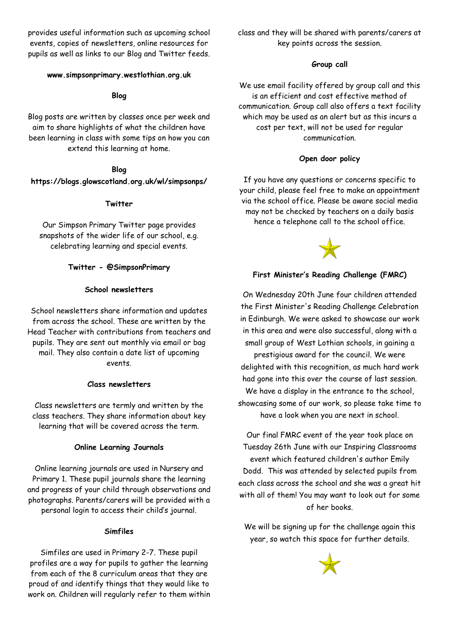provides useful information such as upcoming school events, copies of newsletters, online resources for pupils as well as links to our Blog and Twitter feeds.

## **www.simpsonprimary.westlothian.org.uk**

## **Blog**

Blog posts are written by classes once per week and aim to share highlights of what the children have been learning in class with some tips on how you can extend this learning at home.

# **Blog**

**https://blogs.glowscotland.org.uk/wl/simpsonps/**

# **Twitter**

Our Simpson Primary Twitter page provides snapshots of the wider life of our school, e.g. celebrating learning and special events.

# **Twitter - @SimpsonPrimary**

# **School newsletters**

School newsletters share information and updates from across the school. These are written by the Head Teacher with contributions from teachers and pupils. They are sent out monthly via email or bag mail. They also contain a date list of upcoming events.

# **Class newsletters**

Class newsletters are termly and written by the class teachers. They share information about key learning that will be covered across the term.

# **Online Learning Journals**

Online learning journals are used in Nursery and Primary 1. These pupil journals share the learning and progress of your child through observations and photographs. Parents/carers will be provided with a personal login to access their child's journal.

# **Simfiles**

Simfiles are used in Primary 2-7. These pupil profiles are a way for pupils to gather the learning from each of the 8 curriculum areas that they are proud of and identify things that they would like to work on. Children will regularly refer to them within class and they will be shared with parents/carers at key points across the session.

# **Group call**

We use email facility offered by group call and this is an efficient and cost effective method of communication. Group call also offers a text facility which may be used as an alert but as this incurs a cost per text, will not be used for regular communication.

# **Open door policy**

If you have any questions or concerns specific to your child, please feel free to make an appointment via the school office. Please be aware social media may not be checked by teachers on a daily basis hence a telephone call to the school office.



# **First Minister's Reading Challenge (FMRC)**

On Wednesday 20th June four children attended the First Minister's Reading Challenge Celebration in Edinburgh. We were asked to showcase our work in this area and were also successful, along with a small group of West Lothian schools, in gaining a prestigious award for the council. We were delighted with this recognition, as much hard work had gone into this over the course of last session. We have a display in the entrance to the school, showcasing some of our work, so please take time to have a look when you are next in school.

Our final FMRC event of the year took place on Tuesday 26th June with our Inspiring Classrooms event which featured children's author Emily Dodd. This was attended by selected pupils from each class across the school and she was a great hit with all of them! You may want to look out for some of her books.

We will be signing up for the challenge again this year, so watch this space for further details.

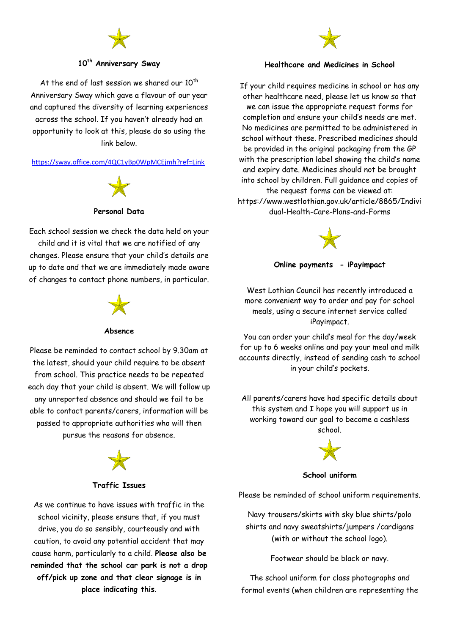

# **10th Anniversary Sway**

At the end of last session we shared our  $10<sup>th</sup>$ Anniversary Sway which gave a flavour of our year and captured the diversity of learning experiences across the school. If you haven't already had an opportunity to look at this, please do so using the link below.

<https://sway.office.com/4QC1yBp0WpMCEjmh?ref=Link>



# **Personal Data**

Each school session we check the data held on your child and it is vital that we are notified of any changes. Please ensure that your child's details are up to date and that we are immediately made aware of changes to contact phone numbers, in particular.



#### **Absence**

Please be reminded to contact school by 9.30am at the latest, should your child require to be absent from school. This practice needs to be repeated each day that your child is absent. We will follow up any unreported absence and should we fail to be able to contact parents/carers, information will be passed to appropriate authorities who will then pursue the reasons for absence.



## **Traffic Issues**

As we continue to have issues with traffic in the school vicinity, please ensure that, if you must drive, you do so sensibly, courteously and with caution, to avoid any potential accident that may cause harm, particularly to a child. **Please also be reminded that the school car park is not a drop off/pick up zone and that clear signage is in place indicating this**.



## **Healthcare and Medicines in School**

If your child requires medicine in school or has any other healthcare need, please let us know so that we can issue the appropriate request forms for completion and ensure your child's needs are met. No medicines are permitted to be administered in school without these. Prescribed medicines should be provided in the original packaging from the GP with the prescription label showing the child's name and expiry date. Medicines should not be brought into school by children. Full guidance and copies of the request forms can be viewed at: https://www.westlothian.gov.uk/article/8865/Indivi dual-Health-Care-Plans-and-Forms



#### **Online payments - iPayimpact**

West Lothian Council has recently introduced a more convenient way to order and pay for school meals, using a secure internet service called iPayimpact.

You can order your child's meal for the day/week for up to 6 weeks online and pay your meal and milk accounts directly, instead of sending cash to school in your child's pockets.

All parents/carers have had specific details about this system and I hope you will support us in working toward our goal to become a cashless school.



#### **School uniform**

Please be reminded of school uniform requirements.

Navy trousers/skirts with sky blue shirts/polo shirts and navy sweatshirts/jumpers /cardigans (with or without the school logo).

Footwear should be black or navy.

The school uniform for class photographs and formal events (when children are representing the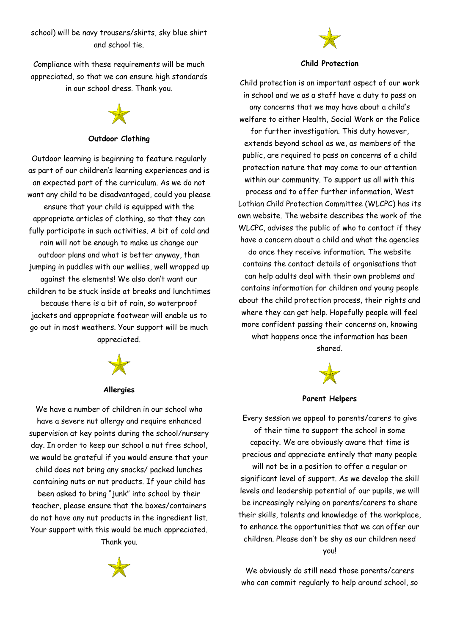school) will be navy trousers/skirts, sky blue shirt and school tie.

Compliance with these requirements will be much appreciated, so that we can ensure high standards in our school dress. Thank you.



## **Outdoor Clothing**

Outdoor learning is beginning to feature regularly as part of our children's learning experiences and is an expected part of the curriculum. As we do not want any child to be disadvantaged, could you please ensure that your child is equipped with the appropriate articles of clothing, so that they can fully participate in such activities. A bit of cold and rain will not be enough to make us change our outdoor plans and what is better anyway, than jumping in puddles with our wellies, well wrapped up against the elements! We also don't want our children to be stuck inside at breaks and lunchtimes because there is a bit of rain, so waterproof jackets and appropriate footwear will enable us to go out in most weathers. Your support will be much appreciated.



#### **Allergies**

We have a number of children in our school who have a severe nut allergy and require enhanced supervision at key points during the school/nursery day. In order to keep our school a nut free school, we would be grateful if you would ensure that your child does not bring any snacks/ packed lunches containing nuts or nut products. If your child has been asked to bring "junk" into school by their teacher, please ensure that the boxes/containers do not have any nut products in the ingredient list. Your support with this would be much appreciated. Thank you.





## **Child Protection**

Child protection is an important aspect of our work in school and we as a staff have a duty to pass on any concerns that we may have about a child's welfare to either Health, Social Work or the Police for further investigation. This duty however, extends beyond school as we, as members of the public, are required to pass on concerns of a child protection nature that may come to our attention within our community. To support us all with this process and to offer further information, West Lothian Child Protection Committee (WLCPC) has its own website. The website describes the work of the WLCPC, advises the public of who to contact if they have a concern about a child and what the agencies do once they receive information. The website contains the contact details of organisations that can help adults deal with their own problems and contains information for children and young people about the child protection process, their rights and where they can get help. Hopefully people will feel more confident passing their concerns on, knowing what happens once the information has been shared.



#### **Parent Helpers**

Every session we appeal to parents/carers to give of their time to support the school in some capacity. We are obviously aware that time is precious and appreciate entirely that many people will not be in a position to offer a regular or significant level of support. As we develop the skill levels and leadership potential of our pupils, we will be increasingly relying on parents/carers to share their skills, talents and knowledge of the workplace, to enhance the opportunities that we can offer our children. Please don't be shy as our children need you!

We obviously do still need those parents/carers who can commit regularly to help around school, so